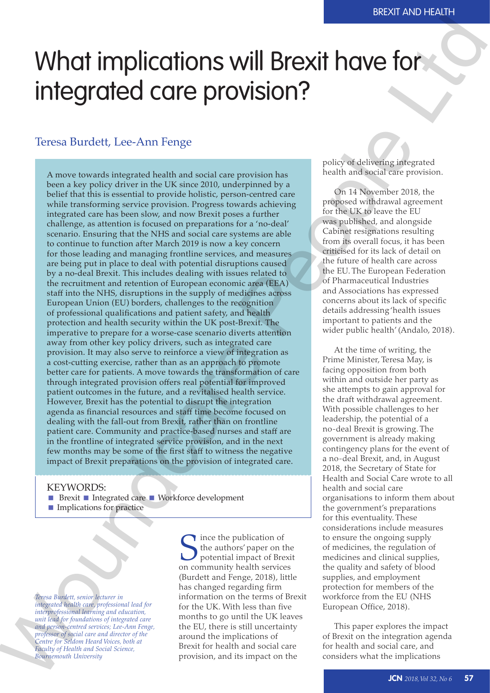# What implications will Brexit have for integrated care provision?

## Teresa Burdett, Lee-Ann Fenge

A move towards integrated health and social care provision has been a key policy driver in the UK since 2010, underpinned by a belief that this is essential to provide holistic, person-centred care while transforming service provision. Progress towards achieving integrated care has been slow, and now Brexit poses a further challenge, as attention is focused on preparations for a 'no-deal' scenario. Ensuring that the NHS and social care systems are able to continue to function after March 2019 is now a key concern for those leading and managing frontline services, and measures are being put in place to deal with potential disruptions caused by a no-deal Brexit. This includes dealing with issues related to the recruitment and retention of European economic area (EEA) staff into the NHS, disruptions in the supply of medicines across European Union (EU) borders, challenges to the recognition of professional qualifications and patient safety, and health protection and health security within the UK post-Brexit. The imperative to prepare for a worse-case scenario diverts attention away from other key policy drivers, such as integrated care provision. It may also serve to reinforce a view of integration as a cost-cutting exercise, rather than as an approach to promote better care for patients. A move towards the transformation of care through integrated provision offers real potential for improved patient outcomes in the future, and a revitalised health service. However, Brexit has the potential to disrupt the integration agenda as financial resources and staff time become focused on dealing with the fall-out from Brexit, rather than on frontline patient care. Community and practice-based nurses and staff are in the frontline of integrated service provision, and in the next few months may be some of the first staff to witness the negative impact of Brexit preparations on the provision of integrated care. What implications will Brexit have for  $\frac{1}{2}$ <br>
Travel Burdett, Lee Am Fange Correspondent and the second state of  $\frac{1}{2}$ <br>
Travel Burdett, Lee Am Fange Correspondent and the second state of  $\frac{1}{2}$ <br>
New York and th

#### KEYWORDS:

- **Brexit Integrated care I** Workforce development
- **Implications for practice**

*Teresa Burdett, senior lecturer in integrated health care, professional lead for interprofessional learning and education, unit lead for foundations of integrated care and person-centred services; Lee-Ann Fenge, professor of social care and director of the Centre for Seldom Heard Voices, both at Faculty of Health and Social Science, Bournemouth University*

Since the publication of<br>the authors' paper on the potential impact of Bre<br>on community health service the authors' paper on the potential impact of Brexit on community health services (Burdett and Fenge, 2018), little has changed regarding firm information on the terms of Brexit for the UK. With less than five months to go until the UK leaves the EU, there is still uncertainty around the implications of Brexit for health and social care provision, and its impact on the

policy of delivering integrated health and social care provision.

On 14 November 2018, the proposed withdrawal agreement for the UK to leave the EU was published, and alongside Cabinet resignations resulting from its overall focus, it has been criticised for its lack of detail on the future of health care across the EU. The European Federation of Pharmaceutical Industries and Associations has expressed concerns about its lack of specific details addressing 'health issues important to patients and the wider public health' (Andalo, 2018).

At the time of writing, the Prime Minister, Teresa May, is facing opposition from both within and outside her party as she attempts to gain approval for the draft withdrawal agreement. With possible challenges to her leadership, the potential of a no-deal Brexit is growing. The government is already making contingency plans for the event of a no-deal Brexit, and, in August 2018, the Secretary of State for Health and Social Care wrote to all health and social care organisations to inform them about the government's preparations for this eventuality. These considerations include measures to ensure the ongoing supply of medicines, the regulation of medicines and clinical supplies, the quality and safety of blood supplies, and employment protection for members of the workforce from the EU (NHS European Office, 2018).

This paper explores the impact of Brexit on the integration agenda for health and social care, and considers what the implications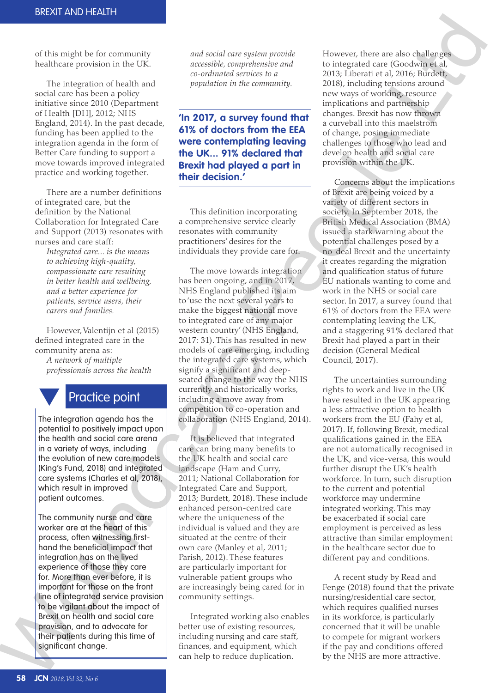of this might be for community healthcare provision in the UK.

The integration of health and social care has been a policy initiative since 2010 (Department of Health [DH], 2012; NHS England, 2014). In the past decade, funding has been applied to the integration agenda in the form of Better Care funding to support a move towards improved integrated practice and working together.

There are a number definitions of integrated care, but the definition by the National Collaboration for Integrated Care and Support (2013) resonates with nurses and care staff:

*Integrated care... is the means to achieving high-quality, compassionate care resulting in better health and wellbeing, and a better experience for patients, service users, their carers and families.* 

However, Valentijn et al (2015) defined integrated care in the community arena as: *A network of multiple professionals across the health* 



# Practice point

The integration agenda has the potential to positively impact upon the health and social care arena in a variety of ways, including the evolution of new care models (King's Fund, 2018) and integrated care systems (Charles et al, 2018), which result in improved patient outcomes.

The community nurse and care worker are at the heart of this process, often witnessing firsthand the beneficial impact that integration has on the lived experience of those they care for. More than ever before, it is important for those on the front line of integrated service provision to be vigilant about the impact of Brexit on health and social care provision, and to advocate for their patients during this time of significant change. denoted the control and the beneficial control and the proportion of the control and the significant and denote the energing in the integrated care systems set the integrated care systems set the integrated care systems se

*and social care system provide accessible, comprehensive and co-ordinated services to a population in the community.*

**'In 2017, a survey found that 61% of doctors from the EEA were contemplating leaving the UK... 91% declared that Brexit had played a part in their decision.'**

This definition incorporating a comprehensive service clearly resonates with community practitioners' desires for the individuals they provide care for.

The move towards integration has been ongoing, and in 2017, NHS England published its aim to 'use the next several years to make the biggest national move to integrated care of any major western country' (NHS England, 2017: 31). This has resulted in new models of care emerging, including the integrated care systems, which signify a significant and deepseated change to the way the NHS currently and historically works, including a move away from competition to co-operation and collaboration (NHS England, 2014).

It is believed that integrated care can bring many benefits to the UK health and social care landscape (Ham and Curry, 2011; National Collaboration for Integrated Care and Support, 2013; Burdett, 2018). These include enhanced person-centred care where the uniqueness of the individual is valued and they are situated at the centre of their own care (Manley et al, 2011; Parish, 2012). These features are particularly important for vulnerable patient groups who are increasingly being cared for in community settings.

Integrated working also enables better use of existing resources, including nursing and care staff, finances, and equipment, which can help to reduce duplication.

However, there are also challenges to integrated care (Goodwin et al, 2013; Liberati et al, 2016; Burdett, 2018), including tensions around new ways of working, resource implications and partnership changes. Brexit has now thrown a curveball into this maelstrom of change, posing immediate challenges to those who lead and develop health and social care provision within the UK.

Concerns about the implications of Brexit are being voiced by a variety of different sectors in society. In September 2018, the British Medical Association (BMA) issued a stark warning about the potential challenges posed by a no-deal Brexit and the uncertainty it creates regarding the migration and qualification status of future EU nationals wanting to come and work in the NHS or social care sector. In 2017, a survey found that 61% of doctors from the EEA were contemplating leaving the UK, and a staggering 91% declared that Brexit had played a part in their decision (General Medical Council, 2017). e system provide<br>
perpenensive and<br>
to integrated are (Goodwin et al.<br>
perviews to a<br>
2013; Liberatic et al. 2016; Burdetti,<br>
the community.<br>
2018). Including tensions around<br>
new was of vorking, resource<br>
implications an

> The uncertainties surrounding rights to work and live in the UK have resulted in the UK appearing a less attractive option to health workers from the EU (Fahy et al, 2017). If, following Brexit, medical qualifications gained in the EEA are not automatically recognised in the UK, and vice-versa, this would further disrupt the UK's health workforce. In turn, such disruption to the current and potential workforce may undermine integrated working. This may be exacerbated if social care employment is perceived as less attractive than similar employment in the healthcare sector due to different pay and conditions.

> A recent study by Read and Fenge (2018) found that the private nursing/residential care sector, which requires qualified nurses in its workforce, is particularly concerned that it will be unable to compete for migrant workers if the pay and conditions offered by the NHS are more attractive.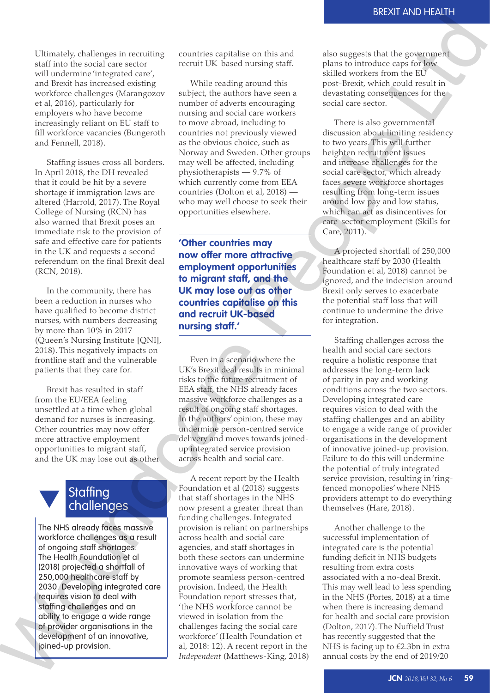Ultimately, challenges in recruiting staff into the social care sector will undermine 'integrated care', and Brexit has increased existing workforce challenges (Marangozov et al, 2016), particularly for employers who have become increasingly reliant on EU staff to fill workforce vacancies (Bungeroth and Fennell, 2018).

Staffing issues cross all borders. In April 2018, the DH revealed that it could be hit by a severe shortage if immigration laws are altered (Harrold, 2017). The Royal College of Nursing (RCN) has also warned that Brexit poses an immediate risk to the provision of safe and effective care for patients in the UK and requests a second referendum on the final Brexit deal (RCN, 2018).

In the community, there has been a reduction in nurses who have qualified to become district nurses, with numbers decreasing by more than 10% in 2017 (Queen's Nursing Institute [QNI], 2018). This negatively impacts on frontline staff and the vulnerable patients that they care for.

Brexit has resulted in staff from the EU/EEA feeling unsettled at a time when global demand for nurses is increasing. Other countries may now offer more attractive employment opportunities to migrant staff, and the UK may lose out as other

# **Staffing** challenges

The NHS already faces massive workforce challenges as a result of ongoing staff shortages. The Health Foundation et al (2018) projected a shortfall of 250,000 healthcare staff by 2030. Developing integrated care requires vision to deal with staffing challenges and an ability to engage a wide range of provider organisations in the development of an innovative, joined-up provision.

countries capitalise on this and recruit UK-based nursing staff.

While reading around this subject, the authors have seen a number of adverts encouraging nursing and social care workers to move abroad, including to countries not previously viewed as the obvious choice, such as Norway and Sweden. Other groups may well be affected, including physiotherapists — 9.7% of which currently come from EEA countries (Dolton et al, 2018) who may well choose to seek their opportunities elsewhere.

**'Other countries may now offer more attractive employment opportunities to migrant staff, and the UK may lose out as other countries capitalise on this and recruit UK-based nursing staff.'**

Even in a scenario where the UK's Brexit deal results in minimal risks to the future recruitment of EEA staff, the NHS already faces massive workforce challenges as a result of ongoing staff shortages. In the authors' opinion, these may undermine person-centred service delivery and moves towards joinedup integrated service provision across health and social care.

A recent report by the Health Foundation et al (2018) suggests that staff shortages in the NHS now present a greater threat than funding challenges. Integrated provision is reliant on partnerships across health and social care agencies, and staff shortages in both these sectors can undermine innovative ways of working that promote seamless person-centred provision. Indeed, the Health Foundation report stresses that, 'the NHS workforce cannot be viewed in isolation from the challenges facing the social care workforce' (Health Foundation et al, 2018: 12). A recent report in the Useen sourising institute [UNI], 2013). This negatively impacts on<br>
frontline staff and the vulnerable<br>
patients that they care for.<br>
The staff and the vulnerable<br>
For in a second pole and fit is the tituting electric int *Independent* (Matthews-King, 2018) also suggests that the government plans to introduce caps for lowskilled workers from the EU post-Brexit, which could result in devastating consequences for the social care sector.

There is also governmental discussion about limiting residency to two years. This will further heighten recruitment issues and increase challenges for the social care sector, which already faces severe workforce shortages resulting from long-term issues around low pay and low status, which can act as disincentives for care-sector employment (Skills for Care, 2011). Example the same of the same of the same of the same of the same of the same of the same of the same server are to the same of the same server are to the same of the same of the same of the same of the same of the same of

A projected shortfall of 250,000 healthcare staff by 2030 (Health Foundation et al, 2018) cannot be ignored, and the indecision around Brexit only serves to exacerbate the potential staff loss that will continue to undermine the drive for integration.

Staffing challenges across the health and social care sectors require a holistic response that addresses the long-term lack of parity in pay and working conditions across the two sectors. Developing integrated care requires vision to deal with the staffing challenges and an ability to engage a wide range of provider organisations in the development of innovative joined-up provision. Failure to do this will undermine the potential of truly integrated service provision, resulting in 'ringfenced monopolies' where NHS providers attempt to do everything themselves (Hare, 2018).

Another challenge to the successful implementation of integrated care is the potential funding deficit in NHS budgets resulting from extra costs associated with a no-deal Brexit. This may well lead to less spending in the NHS (Portes, 2018) at a time when there is increasing demand for health and social care provision (Dolton, 2017). The Nuffield Trust has recently suggested that the NHS is facing up to £2.3bn in extra annual costs by the end of 2019/20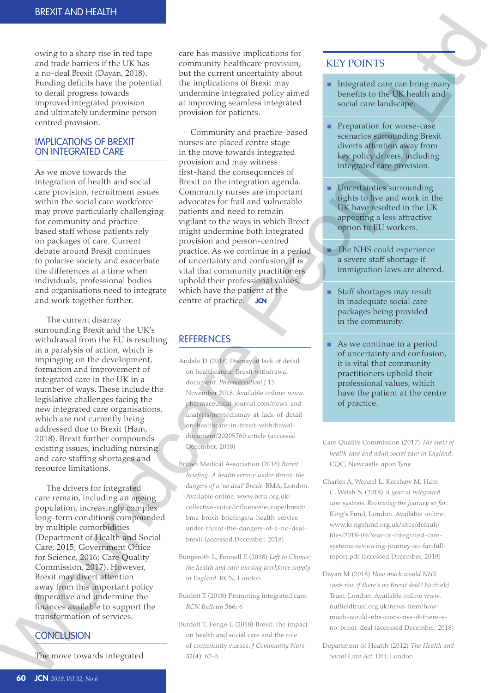owing to a sharp rise in red tape and trade barriers if the UK has a no-deal Brexit (Dayan, 2018). Funding deficits have the potential to derail progress towards improved integrated provision and ultimately undermine personcentred provision.

#### IMPLICATIONS OF BREXIT ON INTEGRATED CARE

As we move towards the integration of health and social care provision, recruitment issues within the social care workforce may prove particularly challenging for community and practicebased staff whose patients rely on packages of care. Current debate around Brexit continues to polarise society and exacerbate the differences at a time when individuals, professional bodies and organisations need to integrate and work together further.

The current disarray surrounding Brexit and the UK's withdrawal from the EU is resulting in a paralysis of action, which is impinging on the development, formation and improvement of integrated care in the UK in a number of ways. These include the legislative challenges facing the new integrated care organisations, which are not currently being addressed due to Brexit (Ham, 2018). Brexit further compounds existing issues, including nursing and care staffing shortages and resource limitations.

The drivers for integrated care remain, including an ageing population, increasingly complex long-term conditions compounded by multiple comorbidities (Department of Health and Social Care, 2015; Government Office for Science, 2016; Care Quality Commission, 2017). However, Brexit may divert attention away from this important policy imperative and undermine the finances available to support the transformation of services.

# **CONCLUSION**

The move towards integrated

care has massive implications for community healthcare provision, but the current uncertainty about the implications of Brexit may undermine integrated policy aimed at improving seamless integrated provision for patients.

Community and practice-based nurses are placed centre stage in the move towards integrated provision and may witness first-hand the consequences of Brexit on the integration agenda. Community nurses are important advocates for frail and vulnerable patients and need to remain vigilant to the ways in which Brexit might undermine both integrated provision and person-centred practice. As we continue in a period of uncertainty and confusion, it is vital that community practitioners uphold their professional values, which have the patient at the centre of practice. JCN Woundcare People Ltd

## **REFERENCES**

- Andalo D (2018) Dismay at lack of detail on healthcare in Brexit withdrawal document. *Pharmaceutical J* 15 November 2018. Available online: www. pharmaceutical-journal.com/news-andanalysis/news/dismay-at-lack-of-detailon-healthcare-in-brexit-withdrawaldocument/20205760.article (accessed December, 2018)
- British Medical Association (2018) *Brexit Briefing: A health service under threat: the dangers of a 'no deal' Brexit*. BMA, London. Available online: www.bma.org.uk/ collective-voice/influence/europe/brexit/ bma-brexit-briefings/a-health-serviceunder-threat-the-dangers-of-a-no-dealbrexit (accessed December, 2018)
- Bungeroth L, Fennell E (2018) *Left to Chance: the health and care nursing workforce supply in England*. RCN, London
- Burdett T (2018) Promoting integrated care. *RCN Bulletin* 366: 6
- Burdett T, Fenge L (2018) Brexit: the impact on health and social care and the role of community nurses. *J Community Nurs*  32(4): 62–5

### KEY POINTS

- **Integrated care can bring many** benefits to the UK health and social care landscape.
- **Preparation for worse-case** scenarios surrounding Brexit diverts attention away from key policy drivers, including integrated care provision.
- **Uncertainties surrounding** rights to live and work in the UK have resulted in the UK appearing a less attractive option to EU workers.
- The NHS could experience a severe staff shortage if immigration laws are altered.
- Staff shortages may result in inadequate social care packages being provided in the community.
- As we continue in a period of uncertainty and confusion, it is vital that community practitioners uphold their professional values, which have the patient at the centre of practice.
- Care Quality Commission (2017) *The state of health care and adult social care in England*. CQC, Newcastle upon Tyne
- Charles A, Wenzel L, Kershaw M, Ham C, Walsh N (2018) *A year of integrated care systems. Reviewing the journey so far*. King's Fund, London. Available online: www.ki ngsfund.org.uk/sites/default/ files/2018-09/Year-of-integrated-caresystems-reviewing-journey-so-far-fullreport.pdf (accessed December, 2018)
- Dayan M (2018) *How much would NHS costs rise if there's no Brexit deal?* Nuffield Trust, London. Available online www. nuffieldtrust.org.uk/news-item/howmuch-would-nhs-costs-rise-if-there-sno-brexit-deal (accessed December, 2018)
- Department of Health (2012) *The Health and Social Care Act*. DH, London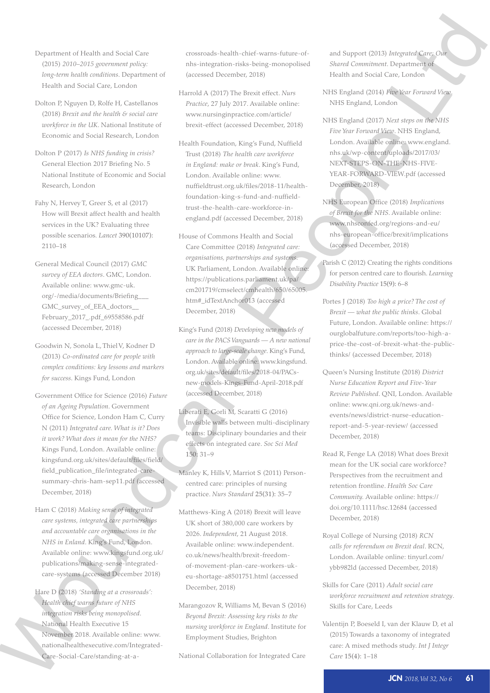- Department of Health and Social Care (2015) *2010–2015 government policy: long-term health conditions*. Department of Health and Social Care, London
- Dolton P, Nguyen D, Rolfe H, Castellanos (2018) *Brexit and the health & social care workforce in the UK*. National Institute of Economic and Social Research, London
- Dolton P (2017) *Is NHS funding in crisis?* General Election 2017 Briefing No. 5 National Institute of Economic and Social Research, London
- Fahy N, Hervey T, Greer S, et al (2017) How will Brexit affect health and health services in the UK? Evaluating three possible scenarios*. Lancet* 390(10107): 2110–18
- General Medical Council (2017) *GMC survey of EEA doctors*. GMC, London. Available online: www.gmc-uk. org/-/media/documents/Briefing\_\_\_ GMC\_survey\_of\_EEA\_doctors\_\_ February\_2017\_.pdf\_69558586.pdf (accessed December, 2018)
- Goodwin N, Sonola L, Thiel V, Kodner D (2013) *Co-ordinated care for people with complex conditions: key lessons and markers for success*. Kings Fund, London
- Government Office for Science (2016) *Future of an Ageing Population*. Government Office for Science, London Ham C, Curry N (2011) *Integrated care. What is it? Does it work? What does it mean for the NHS?*  Kings Fund, London. Available online: kingsfund.org.uk/sites/default/files/field/ field\_publication\_file/integrated-caresummary-chris-ham-sep11.pdf (accessed December, 2018) Goodwin N, Sonola 1, Thiel V, Kocher 1 or met the PACs Veragurate – At a continue and any for properties of the continue and any formula continue to the continue of the continue of the continue of the continue of the Cont
	- Ham C (2018) *Making sense of integrated care systems, integrated care partnerships and accountable care organisations in the NHS in Enland*. King's Fund, London. Available online: www.kingsfund.org.uk/ publications/making-sense-integratedcare-systems (accessed December 2018)
	- Hare D (2018) *'Standing at a crossroads': Health chief warns future of NHS integration risks being monopolised*. National Health Executive 15 November 2018. Available online: www. nationalhealthexecutive.com/Integrated-Care-Social-Care/standing-at-a-

crossroads-health-chief-warns-future-ofnhs-integration-risks-being-monopolised (accessed December, 2018)

- Harrold A (2017) The Brexit effect. *Nurs Practice*, 27 July 2017. Available online: www.nursinginpractice.com/article/ brexit-effect (accessed December, 2018)
- Health Foundation, King's Fund, Nuffield Trust (2018) *The health care workforce in England: make or break*. King's Fund, London. Available online: www. nuffieldtrust.org.uk/files/2018-11/healthfoundation-king-s-fund-and-nuffieldtrust-the-health-care-workforce-inengland.pdf (accessed December, 2018)
- House of Commons Health and Social Care Committee (2018) *Integrated care: organisations, partnerships and systems*. UK Parliament, London. Available online: https://publications.parliament.uk/pa/ cm201719/cmselect/cmhealth/650/65005. htm#\_idTextAnchor013 (accessed December, 2018)
- King's Fund (2018) *Developing new models of care in the PACS Vanguards — A new national approach to large-scale change*. King's Fund, London. Available online: www.kingsfund. org.uk/sites/default/files/2018-04/PACsnew-models-Kings-Fund-April-2018.pdf (accessed December, 2018)
- Liberati E, Gorli M, Scaratti G (2016) Invisible walls between multi-disciplinary teams: Disciplinary boundaries and their effects on integrated care. *Soc Sci Med*  150: 31–9
- Manley K, Hills V, Marriot S (2011) Personcentred care: principles of nursing practice. *Nurs Standard* 25(31): 35–7
- Matthews-King A (2018) Brexit will leave UK short of 380,000 care workers by 2026. *Independent*, 21 August 2018. Available online: www.independent. co.uk/news/health/brexit-freedomof-movement-plan-care-workers-ukeu-shortage-a8501751.html (accessed December, 2018)
- Marangozov R, Williams M, Bevan S (2016) *Beyond Brexit: Assessing key risks to the nursing workforce in England*. Institute for Employment Studies, Brighton

National Collaboration for Integrated Care

and Support (2013) *Integrated Care: Our Shared Commitment*. Department of Health and Social Care, London

- NHS England (2014) *Five Year Forward View*. NHS England, London
- NHS England (2017) *Next steps on the NHS Five Year Forward View*. NHS England, London. Available online: www.england. nhs.uk/wp-content/uploads/2017/03/ NEXT-STEPS-ON-THE-NHS-FIVE-YEAR-FORWARD-VIEW.pdf (accessed December, 2018) People Ltd
	- NHS European Office (2018) *Implications of Brexit for the NHS*. Available online: www.nhsconfed.org/regions-and-eu/ nhs-european-office/brexit/implications (accessed December, 2018)
	- Parish C (2012) Creating the rights conditions for person centred care to flourish. *Learning Disability Practice* 15(9): 6–8
	- Portes J (2018) *Too high a price? The cost of Brexit — what the public thinks*. Global Future, London. Available online: https:// ourglobalfuture.com/reports/too-high-aprice-the-cost-of-brexit-what-the-publicthinks/ (accessed December, 2018)
	- Queen's Nursing Institute (2018) *District Nurse Education Report and Five-Year Review Published*. QNI, London. Available online: www.qni.org.uk/news-andevents/news/district-nurse-educationreport-and-5-year-review/ (accessed December, 2018)
	- Read R, Fenge LA (2018) What does Brexit mean for the UK social care workforce? Perspectives from the recruitment and retention frontline. *Health Soc Care Community.* Available online: https:// doi.org/10.1111/hsc.12684 (accessed December, 2018)
	- Royal College of Nursing (2018) *RCN calls for referendum on Brexit deal*. RCN, London. Available online: tinyurl.com/ ybb982ld (accessed December, 2018)
	- Skills for Care (2011) *Adult social care workforce recruitment and retention strategy*. Skills for Care, Leeds
	- Valentijn P, Boeseld I, van der Klauw D, et al (2015) Towards a taxonomy of integrated care: A mixed methods study. *Int J Integr Care* 15(4): 1–18